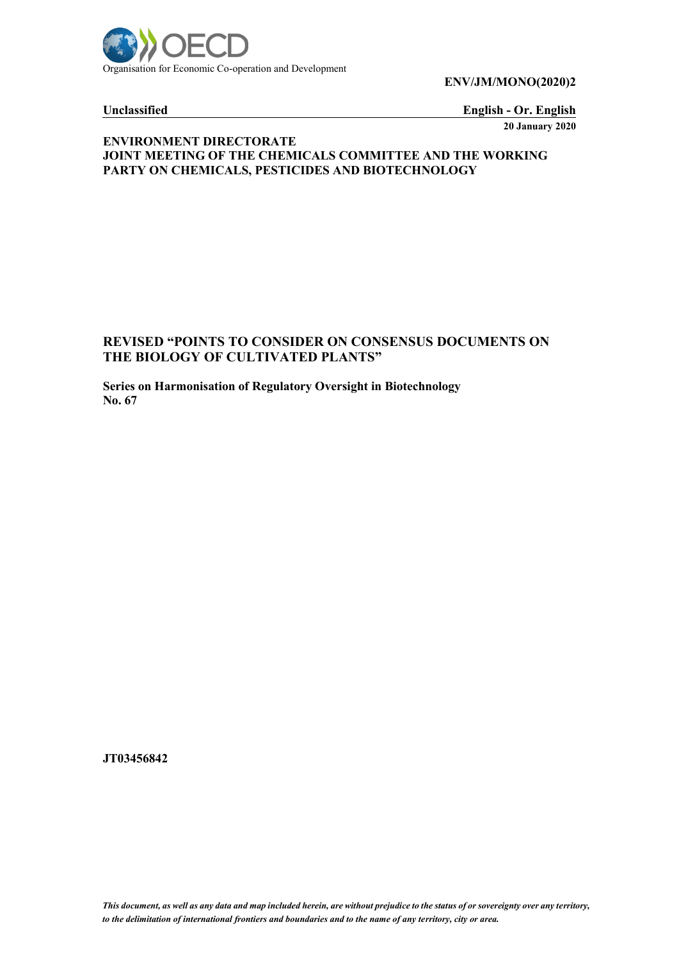

**ENV/JM/MONO(2020)2**

**Unclassified English - Or. English 20 January 2020**

#### **ENVIRONMENT DIRECTORATE JOINT MEETING OF THE CHEMICALS COMMITTEE AND THE WORKING PARTY ON CHEMICALS, PESTICIDES AND BIOTECHNOLOGY**

### **REVISED "POINTS TO CONSIDER ON CONSENSUS DOCUMENTS ON THE BIOLOGY OF CULTIVATED PLANTS"**

**Series on Harmonisation of Regulatory Oversight in Biotechnology No. 67**

**JT03456842**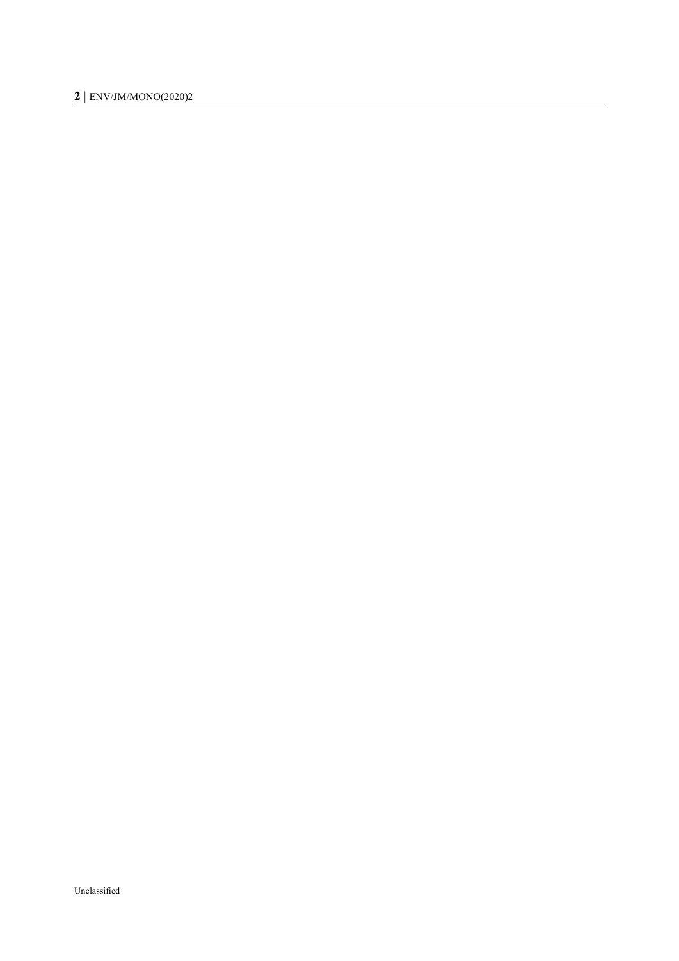**2** ENV/JM/MONO(2020)2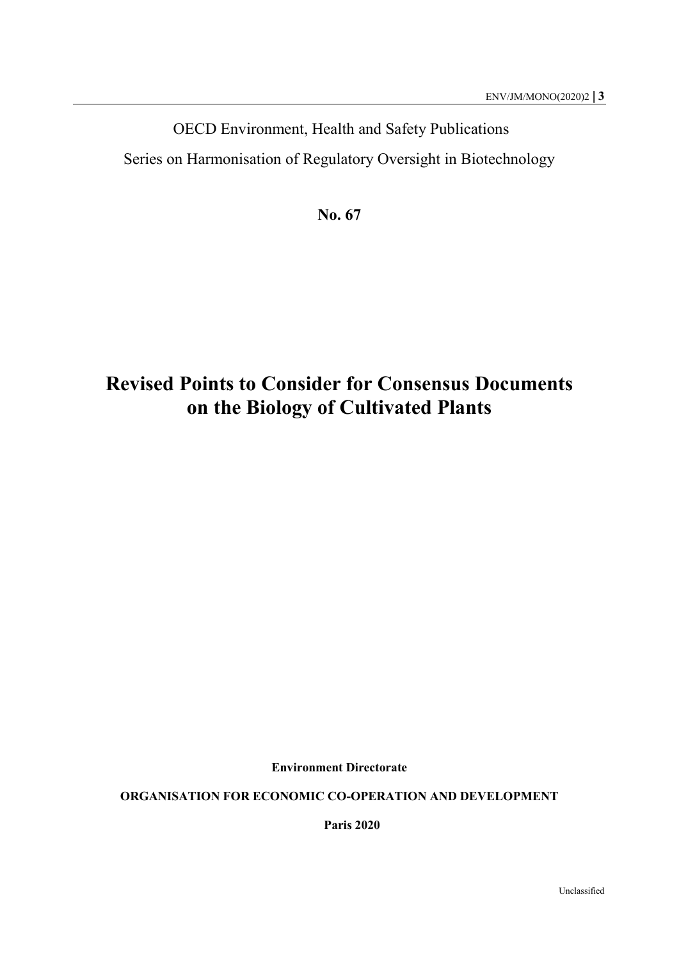OECD Environment, Health and Safety Publications

Series on Harmonisation of Regulatory Oversight in Biotechnology

**No. 67**

# **Revised Points to Consider for Consensus Documents on the Biology of Cultivated Plants**

**Environment Directorate**

**ORGANISATION FOR ECONOMIC CO-OPERATION AND DEVELOPMENT**

**Paris 2020**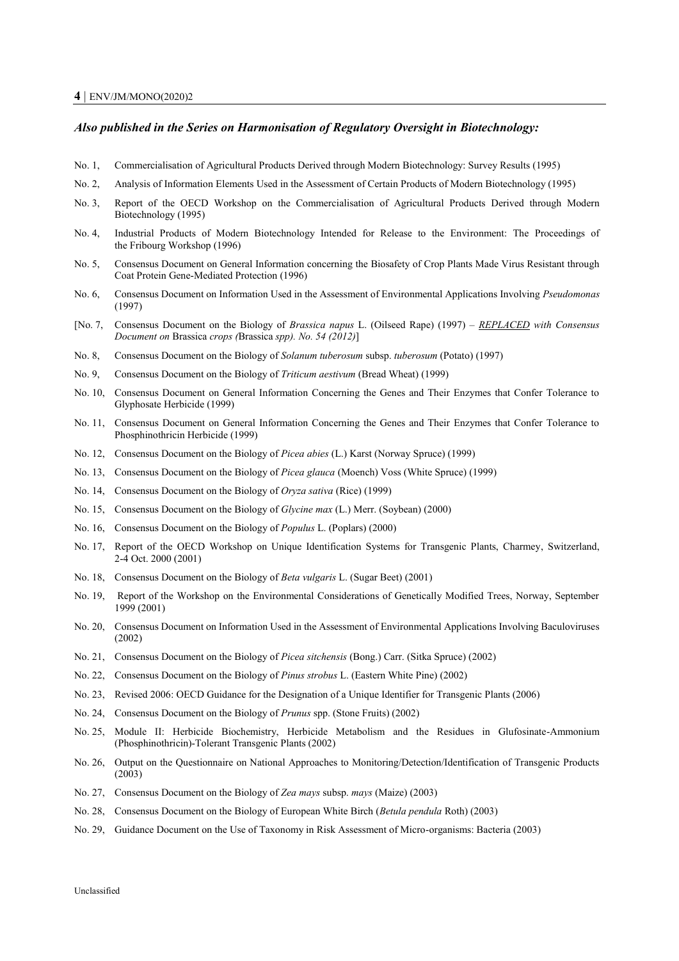#### *Also published in the Series on Harmonisation of Regulatory Oversight in Biotechnology:*

- No. 1, Commercialisation of Agricultural Products Derived through Modern Biotechnology: Survey Results (1995)
- No. 2, Analysis of Information Elements Used in the Assessment of Certain Products of Modern Biotechnology (1995)
- No. 3, Report of the OECD Workshop on the Commercialisation of Agricultural Products Derived through Modern Biotechnology (1995)
- No. 4, Industrial Products of Modern Biotechnology Intended for Release to the Environment: The Proceedings of the Fribourg Workshop (1996)
- No. 5, Consensus Document on General Information concerning the Biosafety of Crop Plants Made Virus Resistant through Coat Protein Gene-Mediated Protection (1996)
- No. 6, Consensus Document on Information Used in the Assessment of Environmental Applications Involving *Pseudomonas* (1997)
- [No. 7, Consensus Document on the Biology of *Brassica napus* L. (Oilseed Rape) (1997) *REPLACED with Consensus Document on* Brassica *crops (*Brassica *spp). No. 54 (2012)*]
- No. 8, Consensus Document on the Biology of *Solanum tuberosum* subsp. *tuberosum* (Potato) (1997)
- No. 9, Consensus Document on the Biology of *Triticum aestivum* (Bread Wheat) (1999)
- No. 10, Consensus Document on General Information Concerning the Genes and Their Enzymes that Confer Tolerance to Glyphosate Herbicide (1999)
- No. 11, Consensus Document on General Information Concerning the Genes and Their Enzymes that Confer Tolerance to Phosphinothricin Herbicide (1999)
- No. 12, Consensus Document on the Biology of *Picea abies* (L.) Karst (Norway Spruce) (1999)
- No. 13, Consensus Document on the Biology of *Picea glauca* (Moench) Voss (White Spruce) (1999)
- No. 14, Consensus Document on the Biology of *Oryza sativa* (Rice) (1999)
- No. 15, Consensus Document on the Biology of *Glycine max* (L.) Merr. (Soybean) (2000)
- No. 16, Consensus Document on the Biology of *Populus* L. (Poplars) (2000)
- No. 17, Report of the OECD Workshop on Unique Identification Systems for Transgenic Plants, Charmey, Switzerland, 2-4 Oct. 2000 (2001)
- No. 18, Consensus Document on the Biology of *Beta vulgaris* L. (Sugar Beet) (2001)
- No. 19, Report of the Workshop on the Environmental Considerations of Genetically Modified Trees, Norway, September 1999 (2001)
- No. 20, Consensus Document on Information Used in the Assessment of Environmental Applications Involving Baculoviruses (2002)
- No. 21, Consensus Document on the Biology of *Picea sitchensis* (Bong.) Carr. (Sitka Spruce) (2002)
- No. 22, Consensus Document on the Biology of *Pinus strobus* L. (Eastern White Pine) (2002)
- No. 23, Revised 2006: OECD Guidance for the Designation of a Unique Identifier for Transgenic Plants (2006)
- No. 24, Consensus Document on the Biology of *Prunus* spp. (Stone Fruits) (2002)
- No. 25, Module II: Herbicide Biochemistry, Herbicide Metabolism and the Residues in Glufosinate-Ammonium (Phosphinothricin)-Tolerant Transgenic Plants (2002)
- No. 26, Output on the Questionnaire on National Approaches to Monitoring/Detection/Identification of Transgenic Products (2003)
- No. 27, Consensus Document on the Biology of *Zea mays* subsp. *mays* (Maize) (2003)
- No. 28, Consensus Document on the Biology of European White Birch (*Betula pendula* Roth) (2003)
- No. 29, Guidance Document on the Use of Taxonomy in Risk Assessment of Micro-organisms: Bacteria (2003)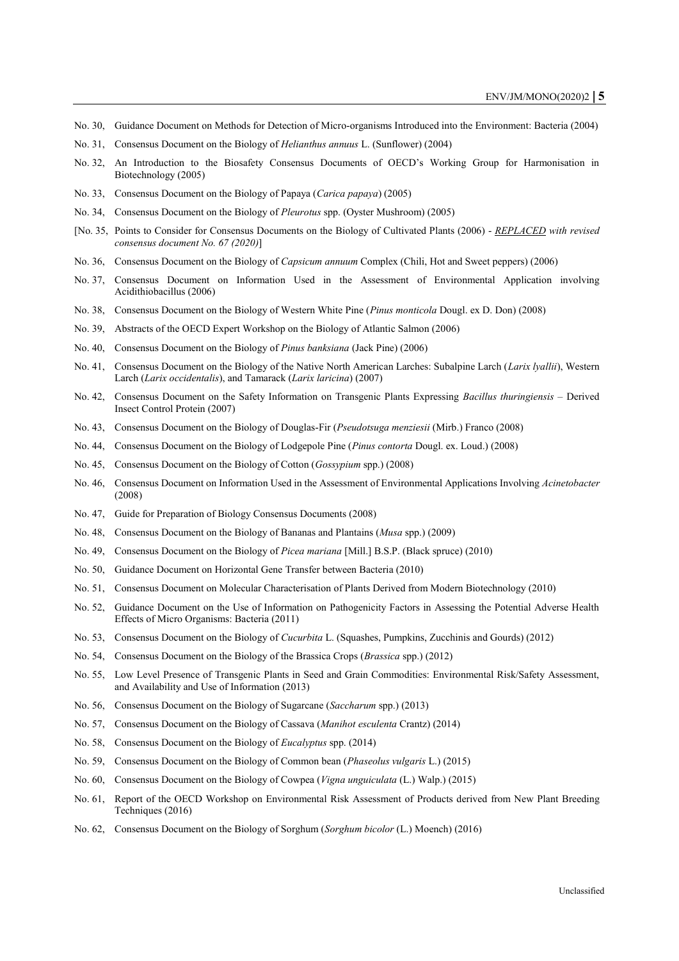- No. 30, Guidance Document on Methods for Detection of Micro-organisms Introduced into the Environment: Bacteria (2004)
- No. 31, Consensus Document on the Biology of *Helianthus annuus* L. (Sunflower) (2004)
- No. 32, An Introduction to the Biosafety Consensus Documents of OECD's Working Group for Harmonisation in Biotechnology (2005)
- No. 33, Consensus Document on the Biology of Papaya (*Carica papaya*) (2005)
- No. 34, Consensus Document on the Biology of *Pleurotus* spp. (Oyster Mushroom) (2005)
- [No. 35, Points to Consider for Consensus Documents on the Biology of Cultivated Plants (2006) *REPLACED with revised consensus document No. 67 (2020)*]
- No. 36, Consensus Document on the Biology of *Capsicum annuum* Complex (Chili, Hot and Sweet peppers) (2006)
- No. 37, Consensus Document on Information Used in the Assessment of Environmental Application involving Acidithiobacillus (2006)
- No. 38, Consensus Document on the Biology of Western White Pine (*Pinus monticola* Dougl. ex D. Don) (2008)
- No. 39, Abstracts of the OECD Expert Workshop on the Biology of Atlantic Salmon (2006)
- No. 40, Consensus Document on the Biology of *Pinus banksiana* (Jack Pine) (2006)
- No. 41, Consensus Document on the Biology of the Native North American Larches: Subalpine Larch (*Larix lyallii*), Western Larch (*Larix occidentalis*), and Tamarack (*Larix laricina*) (2007)
- No. 42, Consensus Document on the Safety Information on Transgenic Plants Expressing *Bacillus thuringiensis* Derived Insect Control Protein (2007)
- No. 43, Consensus Document on the Biology of Douglas-Fir (*Pseudotsuga menziesii* (Mirb.) Franco (2008)
- No. 44, Consensus Document on the Biology of Lodgepole Pine (*Pinus contorta* Dougl. ex. Loud.) (2008)
- No. 45, Consensus Document on the Biology of Cotton (*Gossypium* spp.) (2008)
- No. 46, Consensus Document on Information Used in the Assessment of Environmental Applications Involving *Acinetobacter* (2008)
- No. 47, Guide for Preparation of Biology Consensus Documents (2008)
- No. 48, Consensus Document on the Biology of Bananas and Plantains (*Musa* spp.) (2009)
- No. 49, Consensus Document on the Biology of *Picea mariana* [Mill.] B.S.P. (Black spruce) (2010)
- No. 50, Guidance Document on Horizontal Gene Transfer between Bacteria (2010)
- No. 51, Consensus Document on Molecular Characterisation of Plants Derived from Modern Biotechnology (2010)
- No. 52, Guidance Document on the Use of Information on Pathogenicity Factors in Assessing the Potential Adverse Health Effects of Micro Organisms: Bacteria (2011)
- No. 53, Consensus Document on the Biology of *Cucurbita* L. (Squashes, Pumpkins, Zucchinis and Gourds) (2012)
- No. 54, Consensus Document on the Biology of the Brassica Crops (*Brassica* spp.) (2012)
- No. 55, Low Level Presence of Transgenic Plants in Seed and Grain Commodities: Environmental Risk/Safety Assessment, and Availability and Use of Information (2013)
- No. 56, Consensus Document on the Biology of Sugarcane (*Saccharum* spp.) (2013)
- No. 57, Consensus Document on the Biology of Cassava (*Manihot esculenta* Crantz) (2014)
- No. 58, Consensus Document on the Biology of *Eucalyptus* spp. (2014)
- No. 59, Consensus Document on the Biology of Common bean (*Phaseolus vulgaris* L.) (2015)
- No. 60, Consensus Document on the Biology of Cowpea (*Vigna unguiculata* (L.) Walp.) (2015)
- No. 61, Report of the OECD Workshop on Environmental Risk Assessment of Products derived from New Plant Breeding Techniques (2016)
- No. 62, Consensus Document on the Biology of Sorghum (*Sorghum bicolor* (L.) Moench) (2016)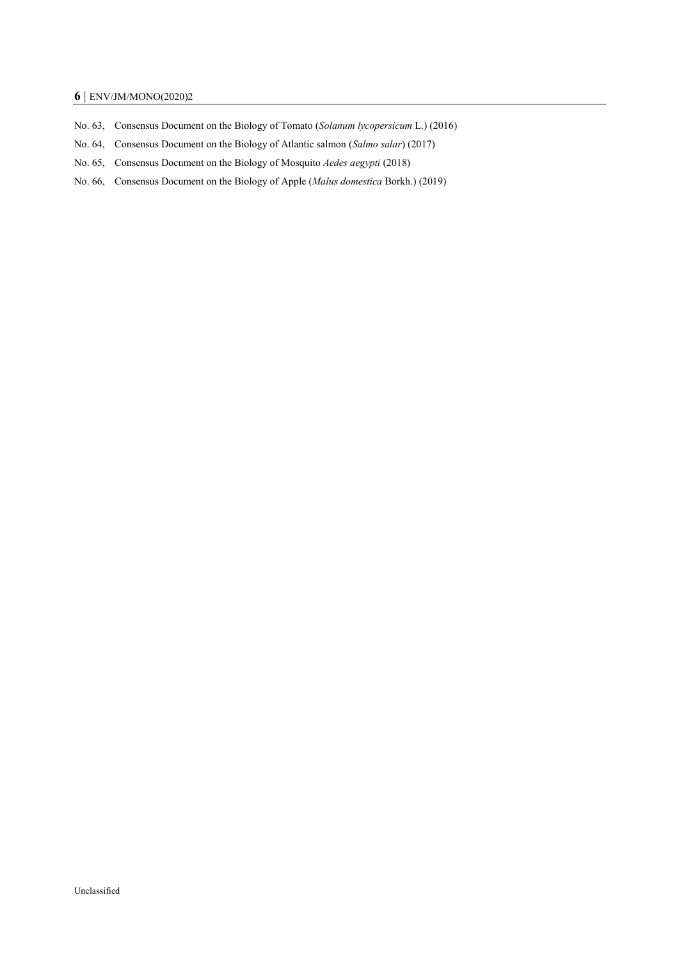- No. 63, Consensus Document on the Biology of Tomato (*Solanum lycopersicum* L.) (2016)
- No. 64, Consensus Document on the Biology of Atlantic salmon (*Salmo salar*) (2017)
- No. 65, Consensus Document on the Biology of Mosquito *Aedes aegypti* (2018)
- No. 66, Consensus Document on the Biology of Apple (*Malus domestica* Borkh.) (2019)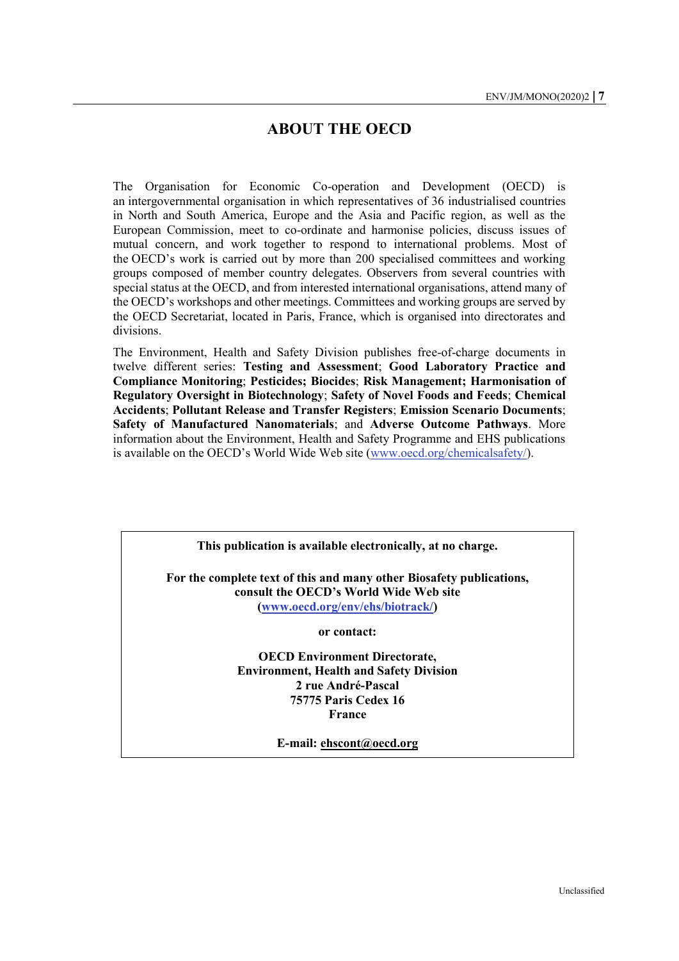# **ABOUT THE OECD**

The Organisation for Economic Co-operation and Development (OECD) is an intergovernmental organisation in which representatives of 36 industrialised countries in North and South America, Europe and the Asia and Pacific region, as well as the European Commission, meet to co-ordinate and harmonise policies, discuss issues of mutual concern, and work together to respond to international problems. Most of the OECD's work is carried out by more than 200 specialised committees and working groups composed of member country delegates. Observers from several countries with special status at the OECD, and from interested international organisations, attend many of the OECD's workshops and other meetings. Committees and working groups are served by the OECD Secretariat, located in Paris, France, which is organised into directorates and divisions.

The Environment, Health and Safety Division publishes free-of-charge documents in twelve different series: **Testing and Assessment**; **Good Laboratory Practice and Compliance Monitoring**; **Pesticides; Biocides**; **Risk Management; Harmonisation of Regulatory Oversight in Biotechnology**; **Safety of Novel Foods and Feeds**; **Chemical Accidents**; **Pollutant Release and Transfer Registers**; **Emission Scenario Documents**; **Safety of Manufactured Nanomaterials**; and **Adverse Outcome Pathways**. More information about the Environment, Health and Safety Programme and EHS publications is available on the OECD's World Wide Web site [\(www.oecd.org/chemicalsafety/\)](http://www.oecd.org/chemicalsafety/).

# **This publication is available electronically, at no charge. For the complete text of this and many other Biosafety publications, consult the OECD's World Wide Web site [\(www.oecd.org/env/ehs/biotrack/\)](http://www.oecd.org/env/ehs/biotrack/) or contact: OECD Environment Directorate, Environment, Health and Safety Division 2 rue André-Pascal 75775 Paris Cedex 16 France E-mail: ehscont@oecd.org**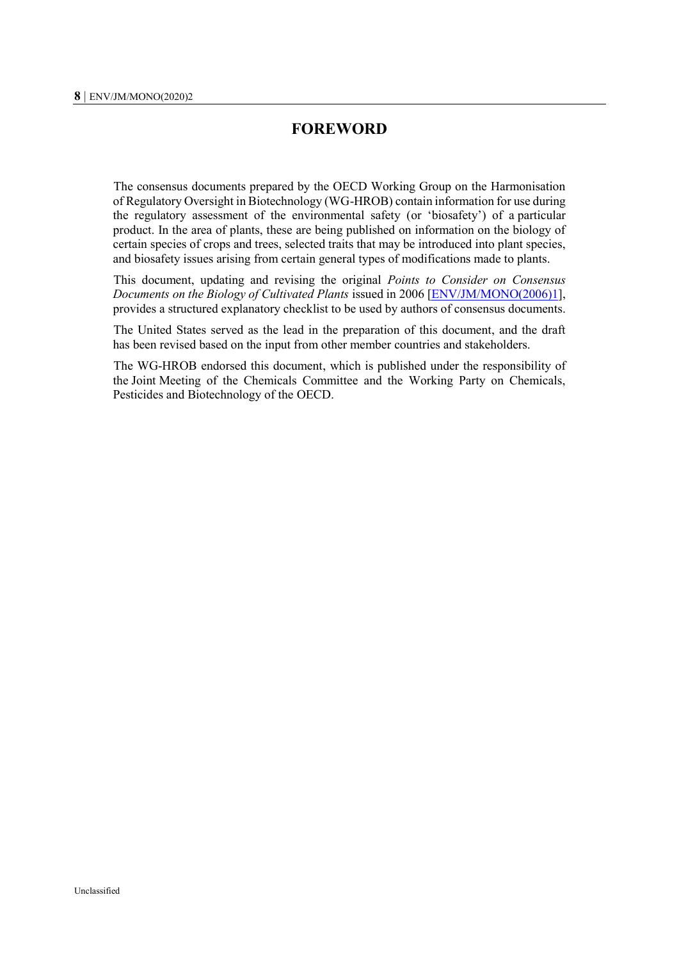# **FOREWORD**

The consensus documents prepared by the OECD Working Group on the Harmonisation of Regulatory Oversight in Biotechnology (WG-HROB) contain information for use during the regulatory assessment of the environmental safety (or 'biosafety') of a particular product. In the area of plants, these are being published on information on the biology of certain species of crops and trees, selected traits that may be introduced into plant species, and biosafety issues arising from certain general types of modifications made to plants.

This document, updating and revising the original *Points to Consider on Consensus Documents on the Biology of Cultivated Plants* issued in 2006 [ENV/JM/MONO(2006)1], provides a structured explanatory checklist to be used by authors of consensus documents.

The United States served as the lead in the preparation of this document, and the draft has been revised based on the input from other member countries and stakeholders.

The WG-HROB endorsed this document, which is published under the responsibility of the Joint Meeting of the Chemicals Committee and the Working Party on Chemicals, Pesticides and Biotechnology of the OECD.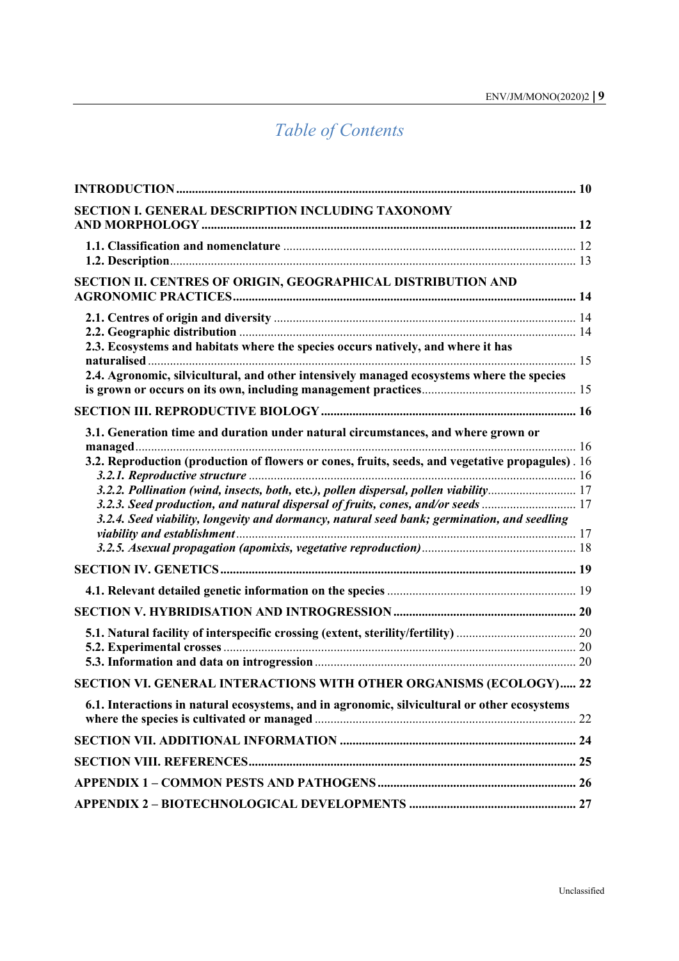# *Table of Contents*

| SECTION I. GENERAL DESCRIPTION INCLUDING TAXONOMY                                                                                                                                                                                                                        |  |
|--------------------------------------------------------------------------------------------------------------------------------------------------------------------------------------------------------------------------------------------------------------------------|--|
|                                                                                                                                                                                                                                                                          |  |
| SECTION II. CENTRES OF ORIGIN, GEOGRAPHICAL DISTRIBUTION AND                                                                                                                                                                                                             |  |
|                                                                                                                                                                                                                                                                          |  |
| 2.3. Ecosystems and habitats where the species occurs natively, and where it has<br>2.4. Agronomic, silvicultural, and other intensively managed ecosystems where the species                                                                                            |  |
|                                                                                                                                                                                                                                                                          |  |
|                                                                                                                                                                                                                                                                          |  |
| 3.1. Generation time and duration under natural circumstances, and where grown or                                                                                                                                                                                        |  |
| 3.2. Reproduction (production of flowers or cones, fruits, seeds, and vegetative propagules). 16                                                                                                                                                                         |  |
| 3.2.2. Pollination (wind, insects, both, etc.), pollen dispersal, pollen viability 17<br>3.2.3. Seed production, and natural dispersal of fruits, cones, and/or seeds  17<br>3.2.4. Seed viability, longevity and dormancy, natural seed bank; germination, and seedling |  |
|                                                                                                                                                                                                                                                                          |  |
|                                                                                                                                                                                                                                                                          |  |
|                                                                                                                                                                                                                                                                          |  |
|                                                                                                                                                                                                                                                                          |  |
|                                                                                                                                                                                                                                                                          |  |
| SECTION VI. GENERAL INTERACTIONS WITH OTHER ORGANISMS (ECOLOGY) 22                                                                                                                                                                                                       |  |
| 6.1. Interactions in natural ecosystems, and in agronomic, silvicultural or other ecosystems                                                                                                                                                                             |  |
|                                                                                                                                                                                                                                                                          |  |
|                                                                                                                                                                                                                                                                          |  |
|                                                                                                                                                                                                                                                                          |  |
|                                                                                                                                                                                                                                                                          |  |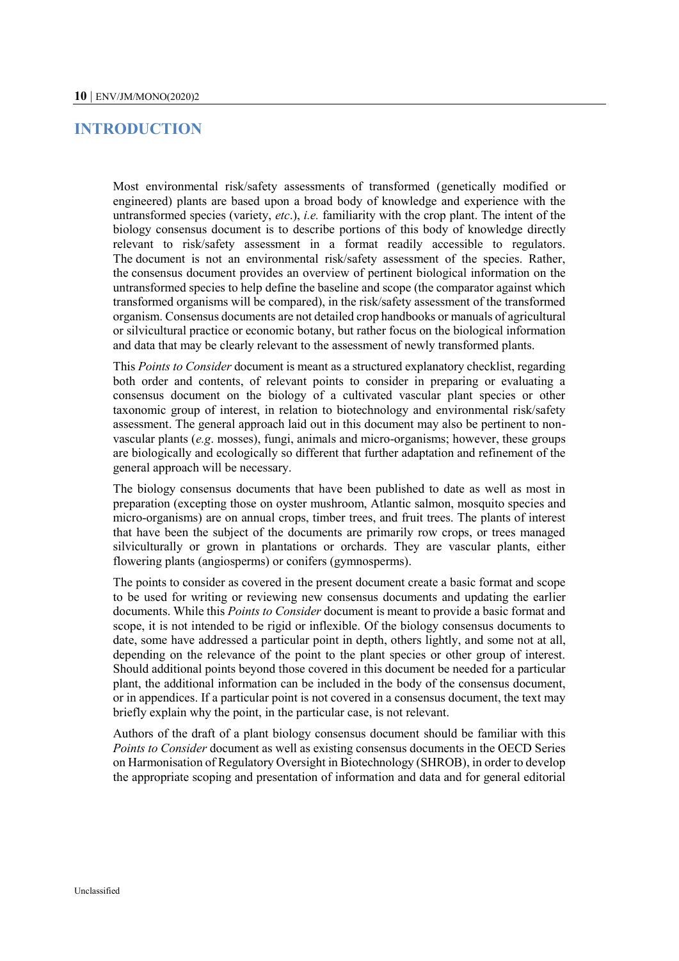## <span id="page-9-0"></span>**INTRODUCTION**

Most environmental risk/safety assessments of transformed (genetically modified or engineered) plants are based upon a broad body of knowledge and experience with the untransformed species (variety, *etc*.), *i.e.* familiarity with the crop plant. The intent of the biology consensus document is to describe portions of this body of knowledge directly relevant to risk/safety assessment in a format readily accessible to regulators. The document is not an environmental risk/safety assessment of the species. Rather, the consensus document provides an overview of pertinent biological information on the untransformed species to help define the baseline and scope (the comparator against which transformed organisms will be compared), in the risk/safety assessment of the transformed organism. Consensus documents are not detailed crop handbooks or manuals of agricultural or silvicultural practice or economic botany, but rather focus on the biological information and data that may be clearly relevant to the assessment of newly transformed plants.

This *Points to Consider* document is meant as a structured explanatory checklist, regarding both order and contents, of relevant points to consider in preparing or evaluating a consensus document on the biology of a cultivated vascular plant species or other taxonomic group of interest, in relation to biotechnology and environmental risk/safety assessment. The general approach laid out in this document may also be pertinent to nonvascular plants (*e.g*. mosses), fungi, animals and micro-organisms; however, these groups are biologically and ecologically so different that further adaptation and refinement of the general approach will be necessary.

The biology consensus documents that have been published to date as well as most in preparation (excepting those on oyster mushroom, Atlantic salmon, mosquito species and micro-organisms) are on annual crops, timber trees, and fruit trees. The plants of interest that have been the subject of the documents are primarily row crops, or trees managed silviculturally or grown in plantations or orchards. They are vascular plants, either flowering plants (angiosperms) or conifers (gymnosperms).

The points to consider as covered in the present document create a basic format and scope to be used for writing or reviewing new consensus documents and updating the earlier documents. While this *Points to Consider* document is meant to provide a basic format and scope, it is not intended to be rigid or inflexible. Of the biology consensus documents to date, some have addressed a particular point in depth, others lightly, and some not at all, depending on the relevance of the point to the plant species or other group of interest. Should additional points beyond those covered in this document be needed for a particular plant, the additional information can be included in the body of the consensus document, or in appendices. If a particular point is not covered in a consensus document, the text may briefly explain why the point, in the particular case, is not relevant.

Authors of the draft of a plant biology consensus document should be familiar with this *Points to Consider* document as well as existing consensus documents in the OECD Series on Harmonisation of Regulatory Oversight in Biotechnology (SHROB), in order to develop the appropriate scoping and presentation of information and data and for general editorial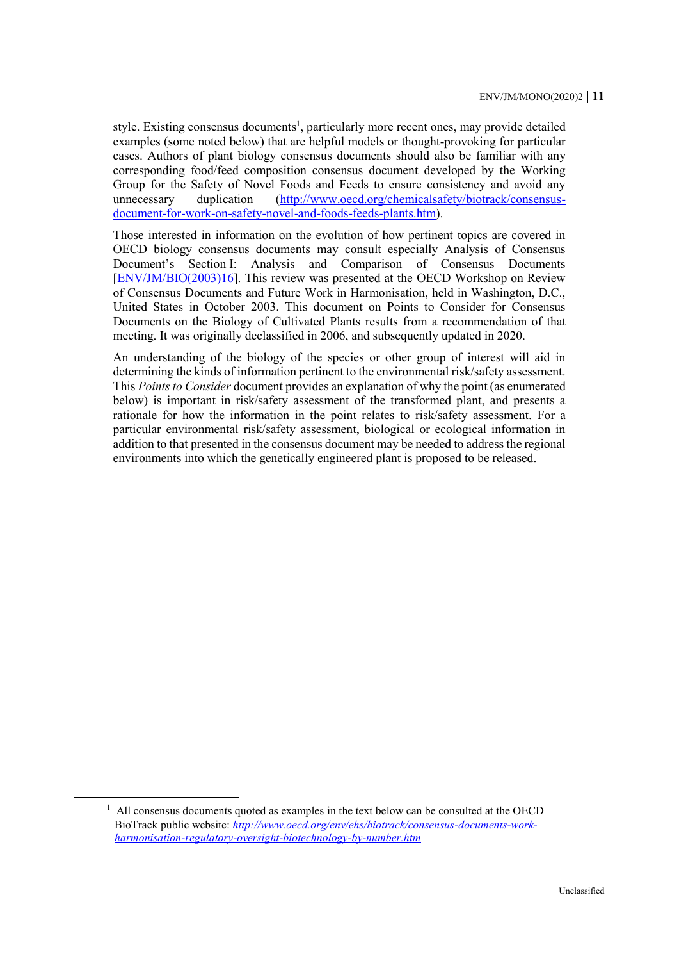style. Existing consensus documents<sup>1</sup>, particularly more recent ones, may provide detailed examples (some noted below) that are helpful models or thought-provoking for particular cases. Authors of plant biology consensus documents should also be familiar with any corresponding food/feed composition consensus document developed by the Working Group for the Safety of Novel Foods and Feeds to ensure consistency and avoid any unnecessary duplication [\(http://www.oecd.org/chemicalsafety/biotrack/consensus](http://www.oecd.org/chemicalsafety/biotrack/consensus-document-for-work-on-safety-novel-and-foods-feeds-plants.htm)[document-for-work-on-safety-novel-and-foods-feeds-plants.htm\)](http://www.oecd.org/chemicalsafety/biotrack/consensus-document-for-work-on-safety-novel-and-foods-feeds-plants.htm).

Those interested in information on the evolution of how pertinent topics are covered in OECD biology consensus documents may consult especially Analysis of Consensus Document's Section I: Analysis and Comparison of Consensus Documents [ENV/JM/BIO(2003)16]. This review was presented at the OECD Workshop on Review of Consensus Documents and Future Work in Harmonisation, held in Washington, D.C., United States in October 2003. This document on Points to Consider for Consensus Documents on the Biology of Cultivated Plants results from a recommendation of that meeting. It was originally declassified in 2006, and subsequently updated in 2020.

An understanding of the biology of the species or other group of interest will aid in determining the kinds of information pertinent to the environmental risk/safety assessment. This *Points to Consider* document provides an explanation of why the point (as enumerated below) is important in risk/safety assessment of the transformed plant, and presents a rationale for how the information in the point relates to risk/safety assessment. For a particular environmental risk/safety assessment, biological or ecological information in addition to that presented in the consensus document may be needed to address the regional environments into which the genetically engineered plant is proposed to be released.

<sup>1</sup> All consensus documents quoted as examples in the text below can be consulted at the OECD BioTrack public website: *[http://www.oecd.org/env/ehs/biotrack/consensus-documents-work](http://www.oecd.org/env/ehs/biotrack/consensus-documents-work-harmonisation-regulatory-oversight-biotechnology-by-number.htm)[harmonisation-regulatory-oversight-biotechnology-by-number.htm](http://www.oecd.org/env/ehs/biotrack/consensus-documents-work-harmonisation-regulatory-oversight-biotechnology-by-number.htm)*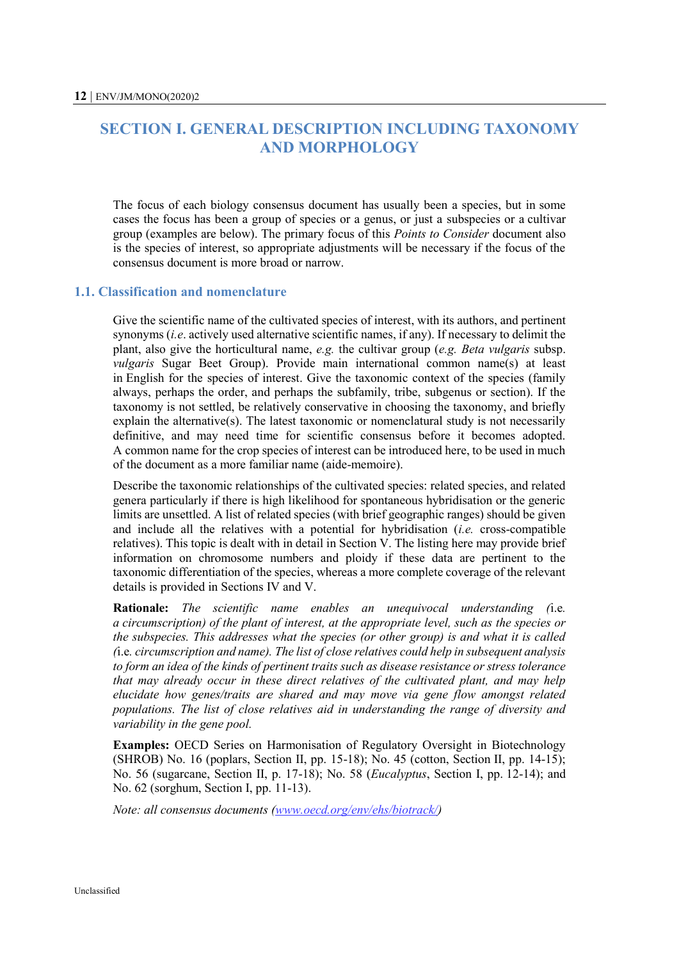# <span id="page-11-0"></span>**SECTION I. GENERAL DESCRIPTION INCLUDING TAXONOMY AND MORPHOLOGY**

The focus of each biology consensus document has usually been a species, but in some cases the focus has been a group of species or a genus, or just a subspecies or a cultivar group (examples are below). The primary focus of this *Points to Consider* document also is the species of interest, so appropriate adjustments will be necessary if the focus of the consensus document is more broad or narrow.

#### <span id="page-11-1"></span>**1.1. Classification and nomenclature**

Give the scientific name of the cultivated species of interest, with its authors, and pertinent synonyms (*i.e*. actively used alternative scientific names, if any). If necessary to delimit the plant, also give the horticultural name, *e.g.* the cultivar group (*e.g. Beta vulgaris* subsp. *vulgaris* Sugar Beet Group). Provide main international common name(s) at least in English for the species of interest. Give the taxonomic context of the species (family always, perhaps the order, and perhaps the subfamily, tribe, subgenus or section). If the taxonomy is not settled, be relatively conservative in choosing the taxonomy, and briefly explain the alternative(s). The latest taxonomic or nomenclatural study is not necessarily definitive, and may need time for scientific consensus before it becomes adopted. A common name for the crop species of interest can be introduced here, to be used in much of the document as a more familiar name (aide-memoire).

Describe the taxonomic relationships of the cultivated species: related species, and related genera particularly if there is high likelihood for spontaneous hybridisation or the generic limits are unsettled. A list of related species (with brief geographic ranges) should be given and include all the relatives with a potential for hybridisation (*i.e.* cross-compatible relatives). This topic is dealt with in detail in Section V. The listing here may provide brief information on chromosome numbers and ploidy if these data are pertinent to the taxonomic differentiation of the species, whereas a more complete coverage of the relevant details is provided in Sections IV and V.

**Rationale:** *The scientific name enables an unequivocal understanding (*i.e*. a circumscription) of the plant of interest, at the appropriate level, such as the species or the subspecies. This addresses what the species (or other group) is and what it is called (*i.e*. circumscription and name). The list of close relatives could help in subsequent analysis to form an idea of the kinds of pertinent traits such as disease resistance or stress tolerance that may already occur in these direct relatives of the cultivated plant, and may help elucidate how genes/traits are shared and may move via gene flow amongst related populations. The list of close relatives aid in understanding the range of diversity and variability in the gene pool.*

**Examples:** OECD Series on Harmonisation of Regulatory Oversight in Biotechnology (SHROB) No. 16 (poplars, Section II, pp. 15-18); No. 45 (cotton, Section II, pp. 14-15); No. 56 (sugarcane, Section II, p. 17-18); No. 58 (*Eucalyptus*, Section I, pp. 12-14); and No. 62 (sorghum, Section I, pp. 11-13).

*Note: all consensus documents [\(www.oecd.org/env/ehs/biotrack/\)](http://www.oecd.org/env/ehs/biotrack/)*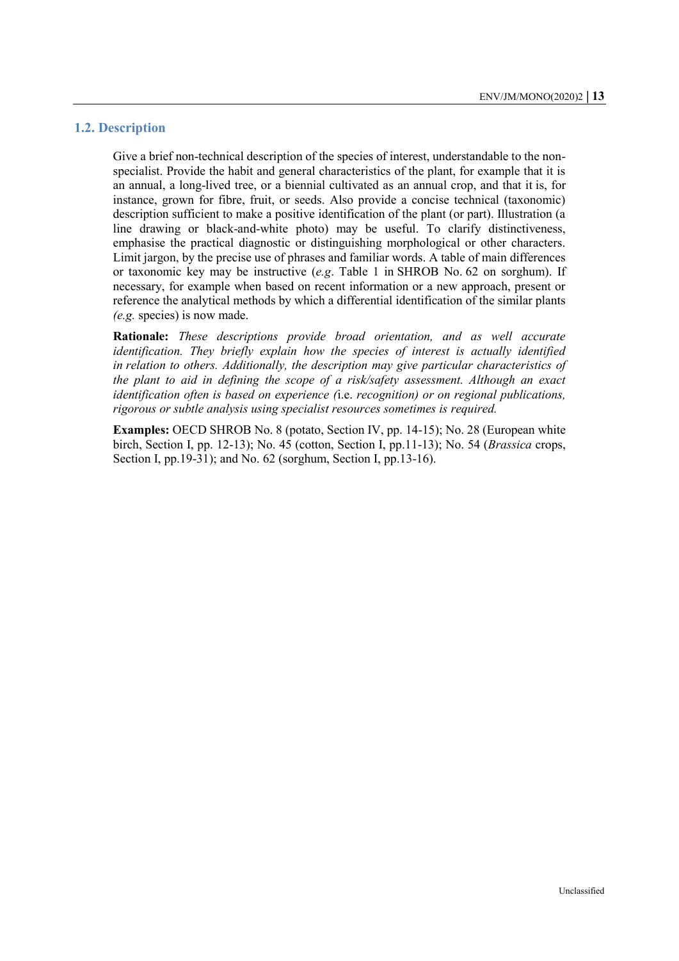#### <span id="page-12-0"></span>**1.2. Description**

Give a brief non-technical description of the species of interest, understandable to the nonspecialist. Provide the habit and general characteristics of the plant, for example that it is an annual, a long-lived tree, or a biennial cultivated as an annual crop, and that it is, for instance, grown for fibre, fruit, or seeds. Also provide a concise technical (taxonomic) description sufficient to make a positive identification of the plant (or part). Illustration (a line drawing or black-and-white photo) may be useful. To clarify distinctiveness, emphasise the practical diagnostic or distinguishing morphological or other characters. Limit jargon, by the precise use of phrases and familiar words. A table of main differences or taxonomic key may be instructive (*e.g*. Table 1 in SHROB No. 62 on sorghum). If necessary, for example when based on recent information or a new approach, present or reference the analytical methods by which a differential identification of the similar plants *(e.g.* species) is now made.

**Rationale:** *These descriptions provide broad orientation, and as well accurate identification. They briefly explain how the species of interest is actually identified in relation to others. Additionally, the description may give particular characteristics of the plant to aid in defining the scope of a risk/safety assessment. Although an exact identification often is based on experience (*i.e. *recognition) or on regional publications, rigorous or subtle analysis using specialist resources sometimes is required.*

**Examples:** OECD SHROB No. 8 (potato, Section IV, pp. 14-15); No. 28 (European white birch, Section I, pp. 12-13); No. 45 (cotton, Section I, pp.11-13); No. 54 (*Brassica* crops, Section I, pp.19-31); and No. 62 (sorghum, Section I, pp.13-16).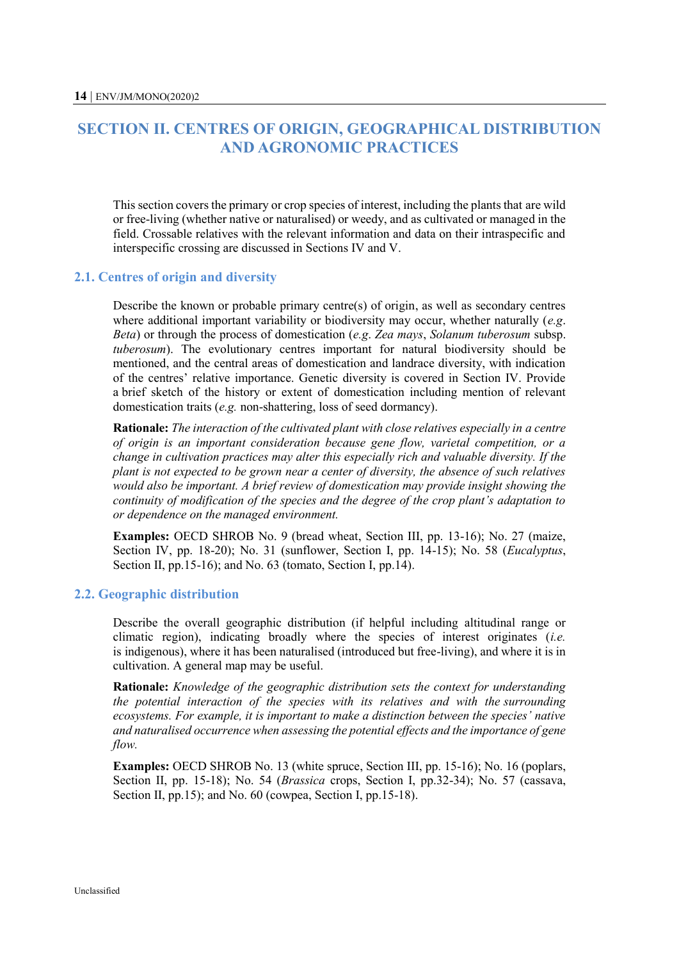# <span id="page-13-0"></span>**SECTION II. CENTRES OF ORIGIN, GEOGRAPHICAL DISTRIBUTION AND AGRONOMIC PRACTICES**

This section covers the primary or crop species of interest, including the plants that are wild or free-living (whether native or naturalised) or weedy, and as cultivated or managed in the field. Crossable relatives with the relevant information and data on their intraspecific and interspecific crossing are discussed in Sections IV and V.

#### <span id="page-13-1"></span>**2.1. Centres of origin and diversity**

Describe the known or probable primary centre(s) of origin, as well as secondary centres where additional important variability or biodiversity may occur, whether naturally (*e.g*. *Beta*) or through the process of domestication (*e.g*. *Zea mays*, *Solanum tuberosum* subsp. *tuberosum*). The evolutionary centres important for natural biodiversity should be mentioned, and the central areas of domestication and landrace diversity, with indication of the centres' relative importance. Genetic diversity is covered in Section IV. Provide a brief sketch of the history or extent of domestication including mention of relevant domestication traits (*e.g.* non-shattering, loss of seed dormancy).

**Rationale:** *The interaction of the cultivated plant with close relatives especially in a centre of origin is an important consideration because gene flow, varietal competition, or a change in cultivation practices may alter this especially rich and valuable diversity. If the plant is not expected to be grown near a center of diversity, the absence of such relatives would also be important. A brief review of domestication may provide insight showing the continuity of modification of the species and the degree of the crop plant's adaptation to or dependence on the managed environment.*

**Examples:** OECD SHROB No. 9 (bread wheat, Section III, pp. 13-16); No. 27 (maize, Section IV, pp. 18-20); No. 31 (sunflower, Section I, pp. 14-15); No. 58 (*Eucalyptus*, Section II, pp.15-16); and No. 63 (tomato, Section I, pp.14).

#### <span id="page-13-2"></span>**2.2. Geographic distribution**

Describe the overall geographic distribution (if helpful including altitudinal range or climatic region), indicating broadly where the species of interest originates (*i.e.*  is indigenous), where it has been naturalised (introduced but free-living), and where it is in cultivation. A general map may be useful.

**Rationale:** *Knowledge of the geographic distribution sets the context for understanding the potential interaction of the species with its relatives and with the surrounding ecosystems. For example, it is important to make a distinction between the species' native and naturalised occurrence when assessing the potential effects and the importance of gene flow.*

**Examples:** OECD SHROB No. 13 (white spruce, Section III, pp. 15-16); No. 16 (poplars, Section II, pp. 15-18); No. 54 (*Brassica* crops, Section I, pp.32-34); No. 57 (cassava, Section II, pp.15); and No. 60 (cowpea, Section I, pp.15-18).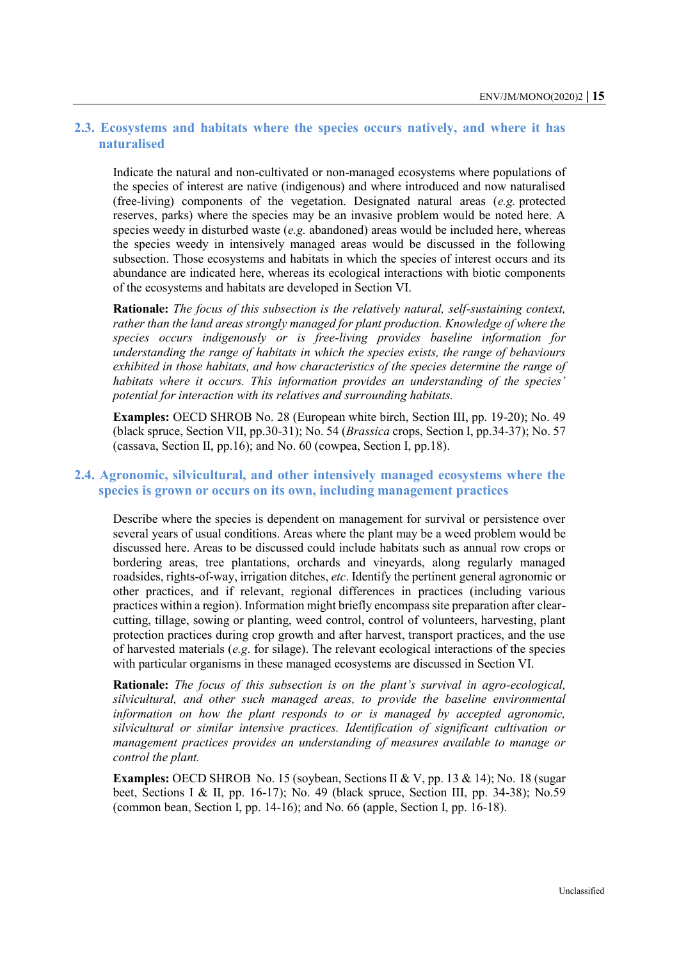#### <span id="page-14-0"></span>**2.3. Ecosystems and habitats where the species occurs natively, and where it has naturalised**

Indicate the natural and non-cultivated or non-managed ecosystems where populations of the species of interest are native (indigenous) and where introduced and now naturalised (free-living) components of the vegetation. Designated natural areas (*e.g.* protected reserves, parks) where the species may be an invasive problem would be noted here. A species weedy in disturbed waste (*e.g.* abandoned) areas would be included here, whereas the species weedy in intensively managed areas would be discussed in the following subsection. Those ecosystems and habitats in which the species of interest occurs and its abundance are indicated here, whereas its ecological interactions with biotic components of the ecosystems and habitats are developed in Section VI.

**Rationale:** *The focus of this subsection is the relatively natural, self-sustaining context, rather than the land areas strongly managed for plant production. Knowledge of where the species occurs indigenously or is free-living provides baseline information for understanding the range of habitats in which the species exists, the range of behaviours exhibited in those habitats, and how characteristics of the species determine the range of habitats where it occurs. This information provides an understanding of the species' potential for interaction with its relatives and surrounding habitats.*

**Examples:** OECD SHROB No. 28 (European white birch, Section III, pp. 19-20); No. 49 (black spruce, Section VII, pp.30-31); No. 54 (*Brassica* crops, Section I, pp.34-37); No. 57 (cassava, Section II, pp.16); and No. 60 (cowpea, Section I, pp.18).

### <span id="page-14-1"></span>**2.4. Agronomic, silvicultural, and other intensively managed ecosystems where the species is grown or occurs on its own, including management practices**

Describe where the species is dependent on management for survival or persistence over several years of usual conditions. Areas where the plant may be a weed problem would be discussed here. Areas to be discussed could include habitats such as annual row crops or bordering areas, tree plantations, orchards and vineyards, along regularly managed roadsides, rights-of-way, irrigation ditches, *etc*. Identify the pertinent general agronomic or other practices, and if relevant, regional differences in practices (including various practices within a region). Information might briefly encompass site preparation after clearcutting, tillage, sowing or planting, weed control, control of volunteers, harvesting, plant protection practices during crop growth and after harvest, transport practices, and the use of harvested materials (*e.g*. for silage). The relevant ecological interactions of the species with particular organisms in these managed ecosystems are discussed in Section VI.

**Rationale:** *The focus of this subsection is on the plant's survival in agro-ecological, silvicultural, and other such managed areas, to provide the baseline environmental information on how the plant responds to or is managed by accepted agronomic, silvicultural or similar intensive practices. Identification of significant cultivation or management practices provides an understanding of measures available to manage or control the plant.*

**Examples:** OECD SHROB No. 15 (soybean, Sections II & V, pp. 13 & 14); No. 18 (sugar beet, Sections I & II, pp. 16-17); No. 49 (black spruce, Section III, pp. 34-38); No.59 (common bean, Section I, pp. 14-16); and No. 66 (apple, Section I, pp. 16-18).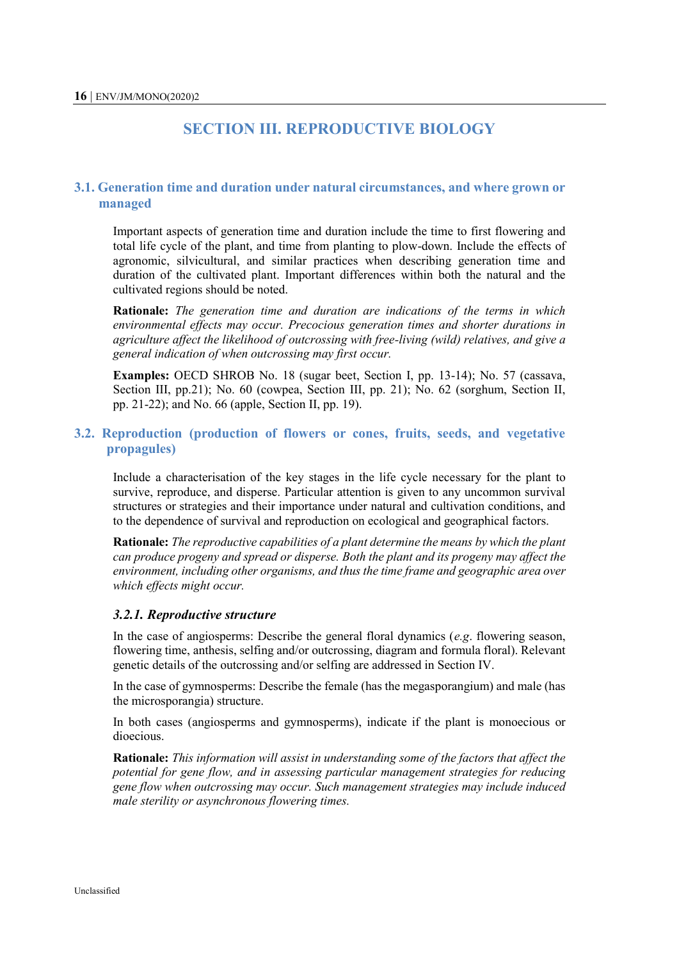# <span id="page-15-0"></span>**SECTION III. REPRODUCTIVE BIOLOGY**

#### <span id="page-15-1"></span>**3.1. Generation time and duration under natural circumstances, and where grown or managed**

Important aspects of generation time and duration include the time to first flowering and total life cycle of the plant, and time from planting to plow-down. Include the effects of agronomic, silvicultural, and similar practices when describing generation time and duration of the cultivated plant. Important differences within both the natural and the cultivated regions should be noted.

**Rationale:** *The generation time and duration are indications of the terms in which environmental effects may occur. Precocious generation times and shorter durations in agriculture affect the likelihood of outcrossing with free-living (wild) relatives, and give a general indication of when outcrossing may first occur.*

**Examples:** OECD SHROB No. 18 (sugar beet, Section I, pp. 13-14); No. 57 (cassava, Section III, pp.21); No. 60 (cowpea, Section III, pp. 21); No. 62 (sorghum, Section II, pp. 21-22); and No. 66 (apple, Section II, pp. 19).

#### <span id="page-15-2"></span>**3.2. Reproduction (production of flowers or cones, fruits, seeds, and vegetative propagules)**

Include a characterisation of the key stages in the life cycle necessary for the plant to survive, reproduce, and disperse. Particular attention is given to any uncommon survival structures or strategies and their importance under natural and cultivation conditions, and to the dependence of survival and reproduction on ecological and geographical factors.

**Rationale:** *The reproductive capabilities of a plant determine the means by which the plant can produce progeny and spread or disperse. Both the plant and its progeny may affect the environment, including other organisms, and thus the time frame and geographic area over which effects might occur.*

#### <span id="page-15-3"></span>*3.2.1. Reproductive structure*

In the case of angiosperms: Describe the general floral dynamics (*e.g*. flowering season, flowering time, anthesis, selfing and/or outcrossing, diagram and formula floral). Relevant genetic details of the outcrossing and/or selfing are addressed in Section IV.

In the case of gymnosperms: Describe the female (has the megasporangium) and male (has the microsporangia) structure.

In both cases (angiosperms and gymnosperms), indicate if the plant is monoecious or dioecious.

**Rationale:** *This information will assist in understanding some of the factors that affect the potential for gene flow, and in assessing particular management strategies for reducing gene flow when outcrossing may occur. Such management strategies may include induced male sterility or asynchronous flowering times.*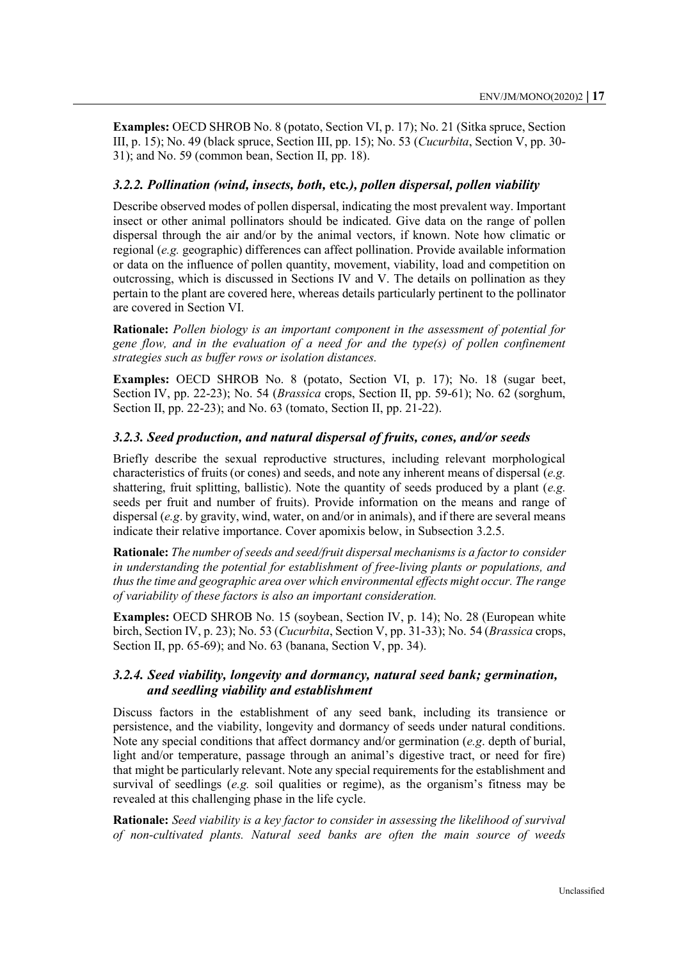**Examples:** OECD SHROB No. 8 (potato, Section VI, p. 17); No. 21 (Sitka spruce, Section III, p. 15); No. 49 (black spruce, Section III, pp. 15); No. 53 (*Cucurbita*, Section V, pp. 30- 31); and No. 59 (common bean, Section II, pp. 18).

#### <span id="page-16-0"></span>*3.2.2. Pollination (wind, insects, both,* **etc***.), pollen dispersal, pollen viability*

Describe observed modes of pollen dispersal, indicating the most prevalent way. Important insect or other animal pollinators should be indicated. Give data on the range of pollen dispersal through the air and/or by the animal vectors, if known. Note how climatic or regional (*e.g.* geographic) differences can affect pollination. Provide available information or data on the influence of pollen quantity, movement, viability, load and competition on outcrossing, which is discussed in Sections IV and V. The details on pollination as they pertain to the plant are covered here, whereas details particularly pertinent to the pollinator are covered in Section VI.

**Rationale:** *Pollen biology is an important component in the assessment of potential for gene flow, and in the evaluation of a need for and the type(s) of pollen confinement strategies such as buffer rows or isolation distances.*

**Examples:** OECD SHROB No. 8 (potato, Section VI, p. 17); No. 18 (sugar beet, Section IV, pp. 22-23); No. 54 (*Brassica* crops, Section II, pp. 59-61); No. 62 (sorghum, Section II, pp. 22-23); and No. 63 (tomato, Section II, pp. 21-22).

#### <span id="page-16-1"></span>*3.2.3. Seed production, and natural dispersal of fruits, cones, and/or seeds*

Briefly describe the sexual reproductive structures, including relevant morphological characteristics of fruits (or cones) and seeds, and note any inherent means of dispersal (*e.g.* shattering, fruit splitting, ballistic). Note the quantity of seeds produced by a plant (*e.g.* seeds per fruit and number of fruits). Provide information on the means and range of dispersal (*e.g.* by gravity, wind, water, on and/or in animals), and if there are several means indicate their relative importance. Cover apomixis below, in Subsection 3.2.5.

**Rationale:** *The number of seeds and seed/fruit dispersal mechanisms is a factor to consider in understanding the potential for establishment of free-living plants or populations, and thus the time and geographic area over which environmental effects might occur. The range of variability of these factors is also an important consideration.*

**Examples:** OECD SHROB No. 15 (soybean, Section IV, p. 14); No. 28 (European white birch, Section IV, p. 23); No. 53 (*Cucurbita*, Section V, pp. 31-33); No. 54 (*Brassica* crops, Section II, pp.  $65-69$ ); and No.  $63$  (banana, Section V, pp. 34).

#### <span id="page-16-2"></span>*3.2.4. Seed viability, longevity and dormancy, natural seed bank; germination, and seedling viability and establishment*

Discuss factors in the establishment of any seed bank, including its transience or persistence, and the viability, longevity and dormancy of seeds under natural conditions. Note any special conditions that affect dormancy and/or germination (*e.g*. depth of burial, light and/or temperature, passage through an animal's digestive tract, or need for fire) that might be particularly relevant. Note any special requirements for the establishment and survival of seedlings (*e.g.* soil qualities or regime), as the organism's fitness may be revealed at this challenging phase in the life cycle.

**Rationale:** *Seed viability is a key factor to consider in assessing the likelihood of survival of non-cultivated plants. Natural seed banks are often the main source of weeds*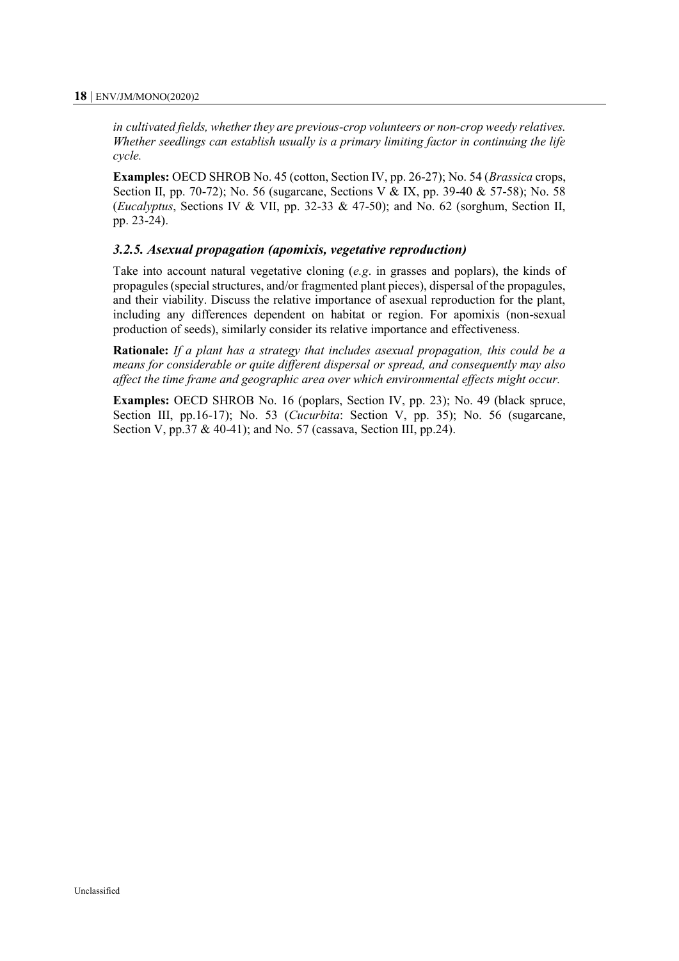*in cultivated fields, whether they are previous-crop volunteers or non-crop weedy relatives. Whether seedlings can establish usually is a primary limiting factor in continuing the life cycle.*

**Examples:** OECD SHROB No. 45 (cotton, Section IV, pp. 26-27); No. 54 (*Brassica* crops, Section II, pp. 70-72); No. 56 (sugarcane, Sections V & IX, pp. 39-40 & 57-58); No. 58 (*Eucalyptus*, Sections IV & VII, pp. 32-33 & 47-50); and No. 62 (sorghum, Section II, pp. 23-24).

#### <span id="page-17-0"></span>*3.2.5. Asexual propagation (apomixis, vegetative reproduction)*

Take into account natural vegetative cloning (*e.g*. in grasses and poplars), the kinds of propagules (special structures, and/or fragmented plant pieces), dispersal of the propagules, and their viability. Discuss the relative importance of asexual reproduction for the plant, including any differences dependent on habitat or region. For apomixis (non-sexual production of seeds), similarly consider its relative importance and effectiveness.

**Rationale:** *If a plant has a strategy that includes asexual propagation, this could be a means for considerable or quite different dispersal or spread, and consequently may also affect the time frame and geographic area over which environmental effects might occur.*

**Examples:** OECD SHROB No. 16 (poplars, Section IV, pp. 23); No. 49 (black spruce, Section III, pp.16-17); No. 53 (*Cucurbita*: Section V, pp. 35); No. 56 (sugarcane, Section V, pp.37 & 40-41); and No. 57 (cassava, Section III, pp.24).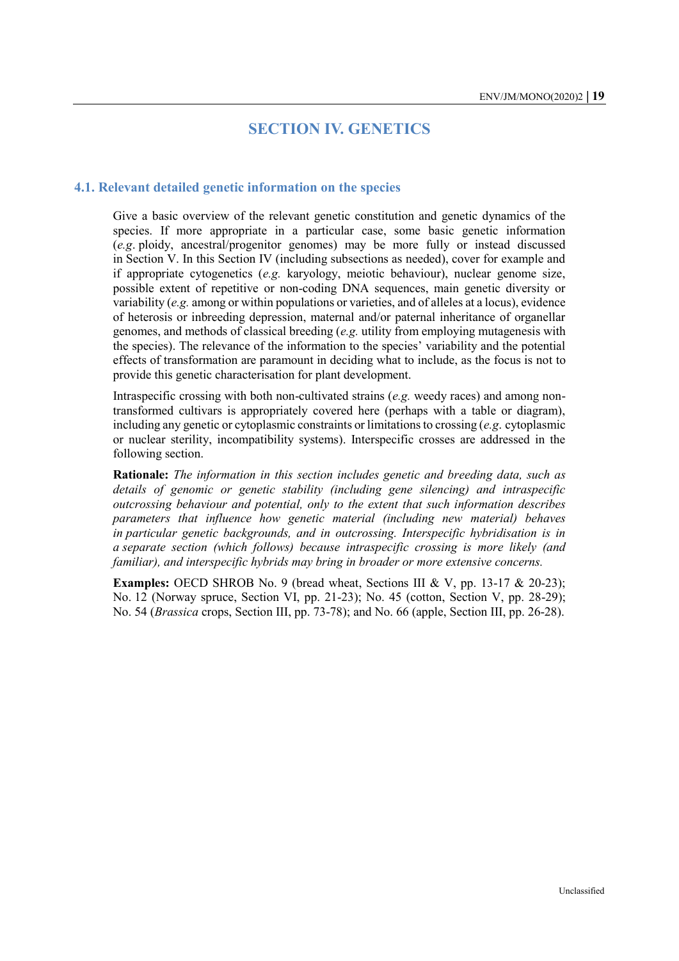### **SECTION IV. GENETICS**

#### <span id="page-18-1"></span><span id="page-18-0"></span>**4.1. Relevant detailed genetic information on the species**

Give a basic overview of the relevant genetic constitution and genetic dynamics of the species. If more appropriate in a particular case, some basic genetic information (*e.g*. ploidy, ancestral/progenitor genomes) may be more fully or instead discussed in Section V. In this Section IV (including subsections as needed), cover for example and if appropriate cytogenetics (*e.g.* karyology, meiotic behaviour), nuclear genome size, possible extent of repetitive or non-coding DNA sequences, main genetic diversity or variability (*e.g.* among or within populations or varieties, and of alleles at a locus), evidence of heterosis or inbreeding depression, maternal and/or paternal inheritance of organellar genomes, and methods of classical breeding (*e.g.* utility from employing mutagenesis with the species). The relevance of the information to the species' variability and the potential effects of transformation are paramount in deciding what to include, as the focus is not to provide this genetic characterisation for plant development.

Intraspecific crossing with both non-cultivated strains (*e.g.* weedy races) and among nontransformed cultivars is appropriately covered here (perhaps with a table or diagram), including any genetic or cytoplasmic constraints or limitations to crossing (*e.g*. cytoplasmic or nuclear sterility, incompatibility systems). Interspecific crosses are addressed in the following section.

**Rationale:** *The information in this section includes genetic and breeding data, such as details of genomic or genetic stability (including gene silencing) and intraspecific outcrossing behaviour and potential, only to the extent that such information describes parameters that influence how genetic material (including new material) behaves in particular genetic backgrounds, and in outcrossing. Interspecific hybridisation is in a separate section (which follows) because intraspecific crossing is more likely (and familiar), and interspecific hybrids may bring in broader or more extensive concerns.*

**Examples:** OECD SHROB No. 9 (bread wheat, Sections III & V, pp.  $13-17$  & 20-23); No. 12 (Norway spruce, Section VI, pp. 21-23); No. 45 (cotton, Section V, pp. 28-29); No. 54 (*Brassica* crops, Section III, pp. 73-78); and No. 66 (apple, Section III, pp. 26-28).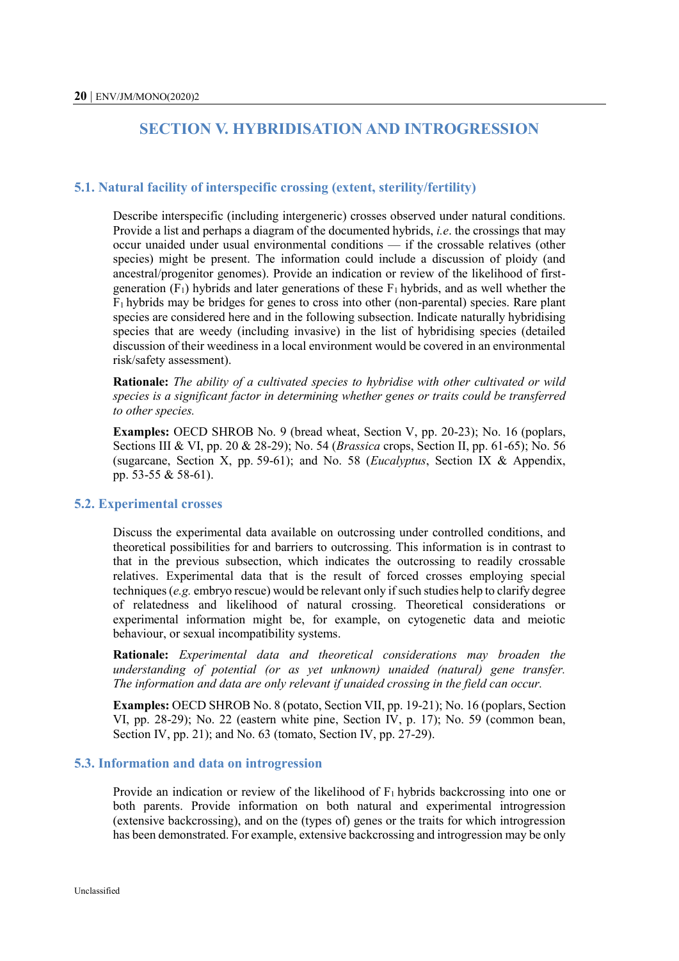# <span id="page-19-0"></span>**SECTION V. HYBRIDISATION AND INTROGRESSION**

#### <span id="page-19-1"></span>**5.1. Natural facility of interspecific crossing (extent, sterility/fertility)**

Describe interspecific (including intergeneric) crosses observed under natural conditions. Provide a list and perhaps a diagram of the documented hybrids, *i.e*. the crossings that may occur unaided under usual environmental conditions — if the crossable relatives (other species) might be present. The information could include a discussion of ploidy (and ancestral/progenitor genomes). Provide an indication or review of the likelihood of firstgeneration  $(F_1)$  hybrids and later generations of these  $F_1$  hybrids, and as well whether the  $F_1$  hybrids may be bridges for genes to cross into other (non-parental) species. Rare plant species are considered here and in the following subsection. Indicate naturally hybridising species that are weedy (including invasive) in the list of hybridising species (detailed discussion of their weediness in a local environment would be covered in an environmental risk/safety assessment).

**Rationale:** *The ability of a cultivated species to hybridise with other cultivated or wild species is a significant factor in determining whether genes or traits could be transferred to other species.*

**Examples:** OECD SHROB No. 9 (bread wheat, Section V, pp. 20-23); No. 16 (poplars, Sections III & VI, pp. 20 & 28-29); No. 54 (*Brassica* crops, Section II, pp. 61-65); No. 56 (sugarcane, Section X, pp. 59-61); and No. 58 (*Eucalyptus*, Section IX & Appendix, pp. 53-55 & 58-61).

#### <span id="page-19-2"></span>**5.2. Experimental crosses**

Discuss the experimental data available on outcrossing under controlled conditions, and theoretical possibilities for and barriers to outcrossing. This information is in contrast to that in the previous subsection, which indicates the outcrossing to readily crossable relatives. Experimental data that is the result of forced crosses employing special techniques (*e.g.* embryo rescue) would be relevant only if such studies help to clarify degree of relatedness and likelihood of natural crossing. Theoretical considerations or experimental information might be, for example, on cytogenetic data and meiotic behaviour, or sexual incompatibility systems.

**Rationale:** *Experimental data and theoretical considerations may broaden the understanding of potential (or as yet unknown) unaided (natural) gene transfer. The information and data are only relevant if unaided crossing in the field can occur.*

**Examples:** OECD SHROB No. 8 (potato, Section VII, pp. 19-21); No. 16 (poplars, Section VI, pp. 28-29); No. 22 (eastern white pine, Section IV, p. 17); No. 59 (common bean, Section IV, pp. 21); and No. 63 (tomato, Section IV, pp. 27-29).

#### <span id="page-19-3"></span>**5.3. Information and data on introgression**

Provide an indication or review of the likelihood of  $F_1$  hybrids backcrossing into one or both parents. Provide information on both natural and experimental introgression (extensive backcrossing), and on the (types of) genes or the traits for which introgression has been demonstrated. For example, extensive backcrossing and introgression may be only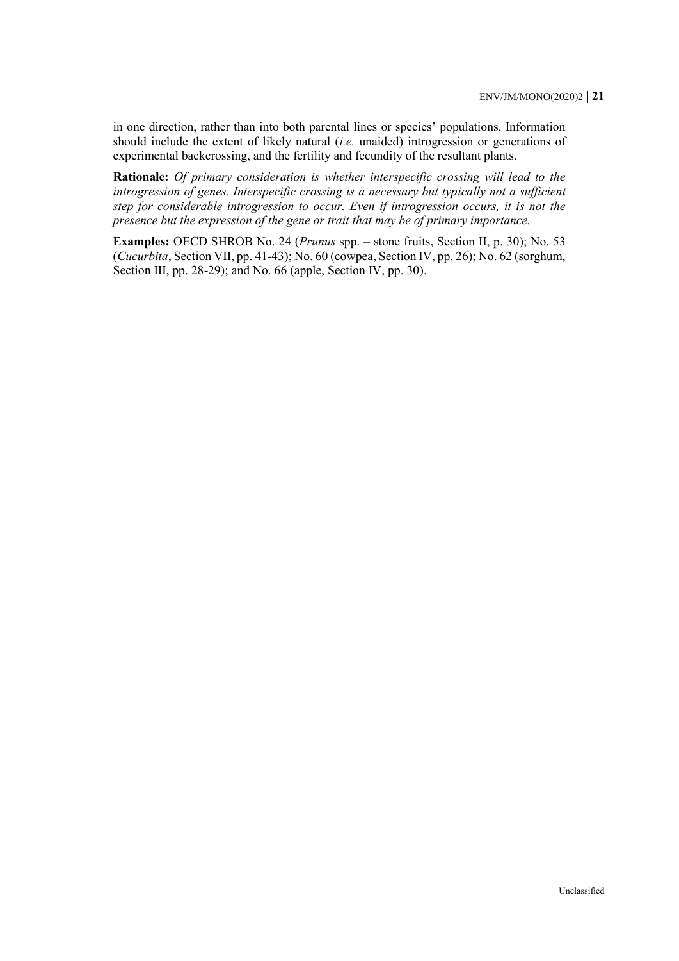in one direction, rather than into both parental lines or species' populations. Information should include the extent of likely natural (*i.e.* unaided) introgression or generations of experimental backcrossing, and the fertility and fecundity of the resultant plants.

**Rationale:** *Of primary consideration is whether interspecific crossing will lead to the introgression of genes. Interspecific crossing is a necessary but typically not a sufficient step for considerable introgression to occur. Even if introgression occurs, it is not the presence but the expression of the gene or trait that may be of primary importance.*

**Examples:** OECD SHROB No. 24 (*Prunus* spp. – stone fruits, Section II, p. 30); No. 53 (*Cucurbita*, Section VII, pp. 41-43); No. 60 (cowpea, Section IV, pp. 26); No. 62 (sorghum, Section III, pp. 28-29); and No. 66 (apple, Section IV, pp. 30).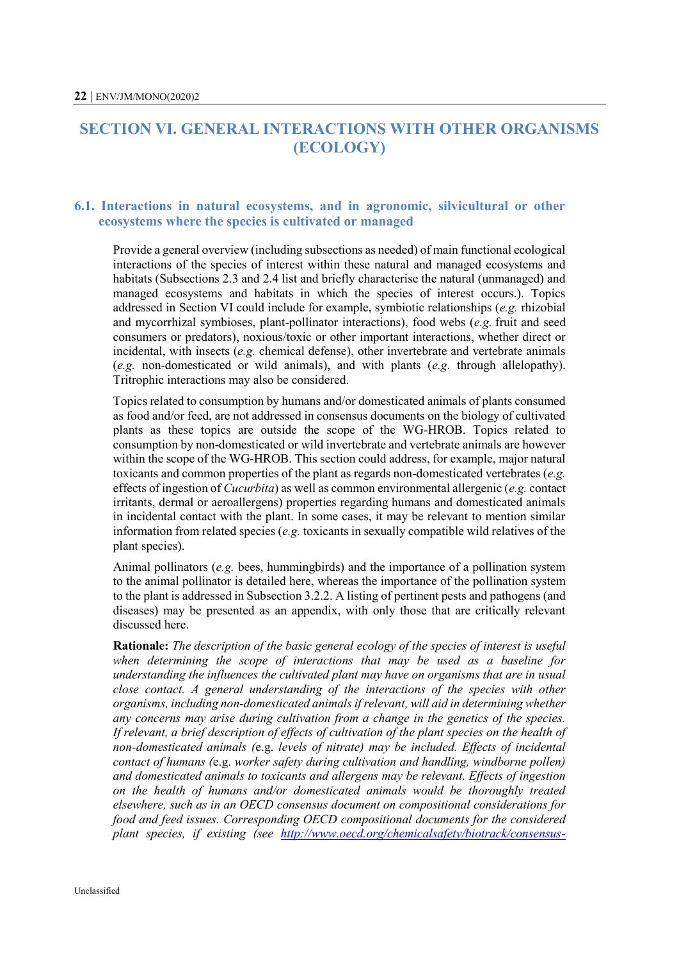# <span id="page-21-0"></span>**SECTION VI. GENERAL INTERACTIONS WITH OTHER ORGANISMS (ECOLOGY)**

#### <span id="page-21-1"></span>**6.1. Interactions in natural ecosystems, and in agronomic, silvicultural or other ecosystems where the species is cultivated or managed**

Provide a general overview (including subsections as needed) of main functional ecological interactions of the species of interest within these natural and managed ecosystems and habitats (Subsections 2.3 and 2.4 list and briefly characterise the natural (unmanaged) and managed ecosystems and habitats in which the species of interest occurs.). Topics addressed in Section VI could include for example, symbiotic relationships (*e.g.* rhizobial and mycorrhizal symbioses, plant-pollinator interactions), food webs (*e.g.* fruit and seed consumers or predators), noxious/toxic or other important interactions, whether direct or incidental, with insects (*e.g.* chemical defense), other invertebrate and vertebrate animals (*e.g.* non-domesticated or wild animals), and with plants (*e.g*. through allelopathy). Tritrophic interactions may also be considered.

Topics related to consumption by humans and/or domesticated animals of plants consumed as food and/or feed, are not addressed in consensus documents on the biology of cultivated plants as these topics are outside the scope of the WG-HROB. Topics related to consumption by non-domesticated or wild invertebrate and vertebrate animals are however within the scope of the WG-HROB. This section could address, for example, major natural toxicants and common properties of the plant as regards non-domesticated vertebrates (*e.g.* effects of ingestion of *Cucurbita*) as well as common environmental allergenic (*e.g.* contact irritants, dermal or aeroallergens) properties regarding humans and domesticated animals in incidental contact with the plant. In some cases, it may be relevant to mention similar information from related species (*e.g.* toxicants in sexually compatible wild relatives of the plant species).

Animal pollinators (*e.g.* bees, hummingbirds) and the importance of a pollination system to the animal pollinator is detailed here, whereas the importance of the pollination system to the plant is addressed in Subsection 3.2.2. A listing of pertinent pests and pathogens (and diseases) may be presented as an appendix, with only those that are critically relevant discussed here.

**Rationale:** *The description of the basic general ecology of the species of interest is useful when determining the scope of interactions that may be used as a baseline for understanding the influences the cultivated plant may have on organisms that are in usual close contact. A general understanding of the interactions of the species with other organisms, including non-domesticated animals if relevant, will aid in determining whether any concerns may arise during cultivation from a change in the genetics of the species. If relevant, a brief description of effects of cultivation of the plant species on the health of non-domesticated animals (*e.g. *levels of nitrate) may be included. Effects of incidental contact of humans (*e.g. *worker safety during cultivation and handling, windborne pollen) and domesticated animals to toxicants and allergens may be relevant. Effects of ingestion on the health of humans and/or domesticated animals would be thoroughly treated elsewhere, such as in an OECD consensus document on compositional considerations for food and feed issues. Corresponding OECD compositional documents for the considered plant species, if existing (see [http://www.oecd.org/chemicalsafety/biotrack/consensus-](http://www.oecd.org/chemicalsafety/biotrack/consensus-document-for-work-on-safety-novel-and-foods-feeds-plants.htm)*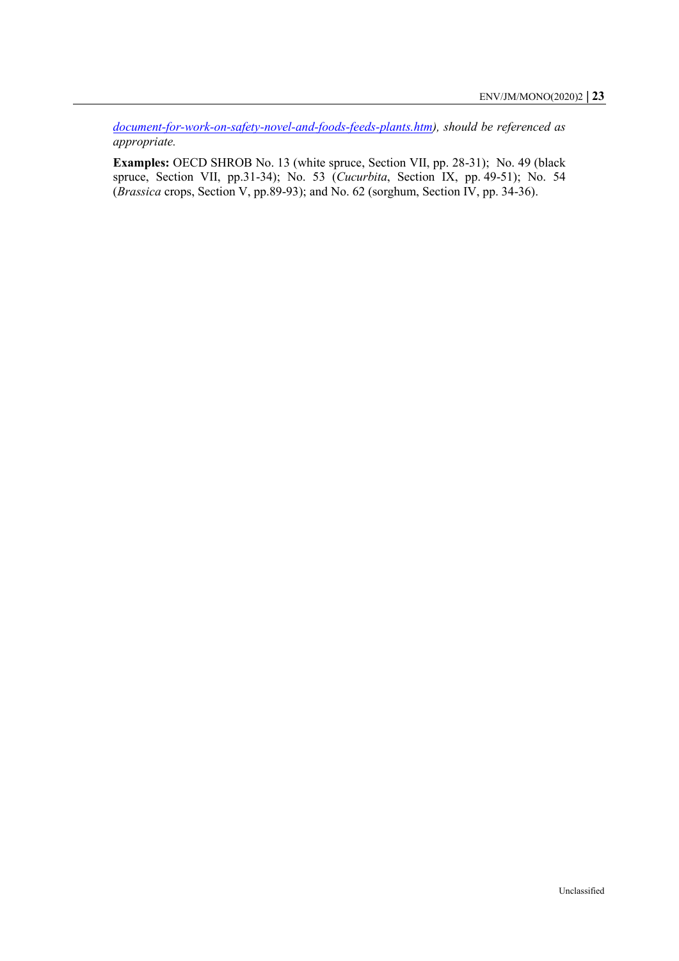*[document-for-work-on-safety-novel-and-foods-feeds-plants.htm\)](http://www.oecd.org/chemicalsafety/biotrack/consensus-document-for-work-on-safety-novel-and-foods-feeds-plants.htm), should be referenced as appropriate.*

**Examples:** OECD SHROB No. 13 (white spruce, Section VII, pp. 28-31); No. 49 (black spruce, Section VII, pp.31-34); No. 53 (*Cucurbita*, Section IX, pp. 49-51); No. 54 (*Brassica* crops, Section V, pp.89-93); and No. 62 (sorghum, Section IV, pp. 34-36).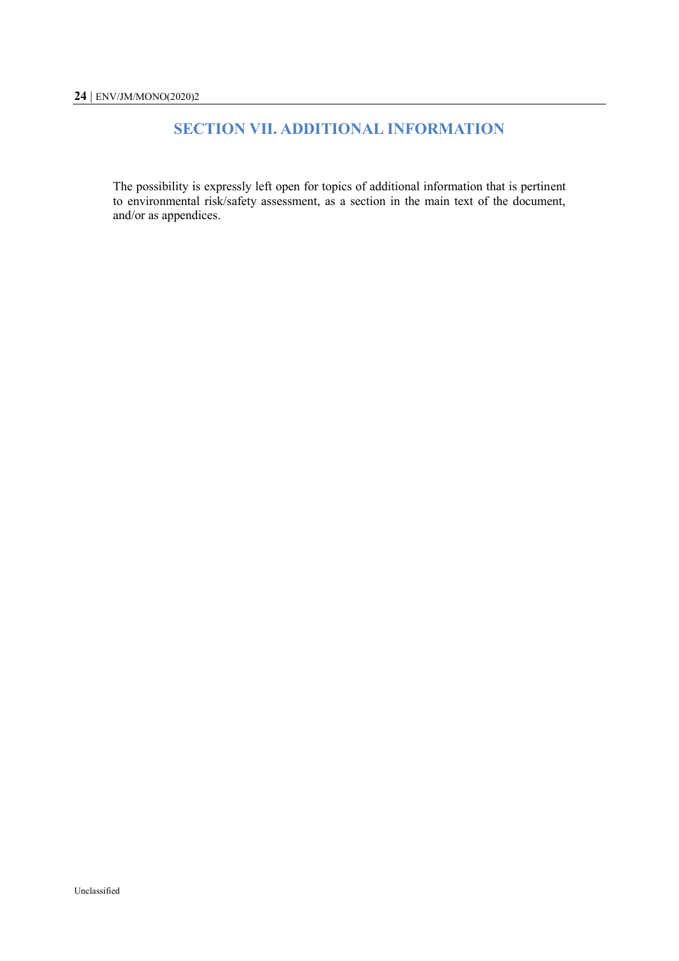# **SECTION VII. ADDITIONAL INFORMATION**

<span id="page-23-0"></span>The possibility is expressly left open for topics of additional information that is pertinent to environmental risk/safety assessment, as a section in the main text of the document, and/or as appendices.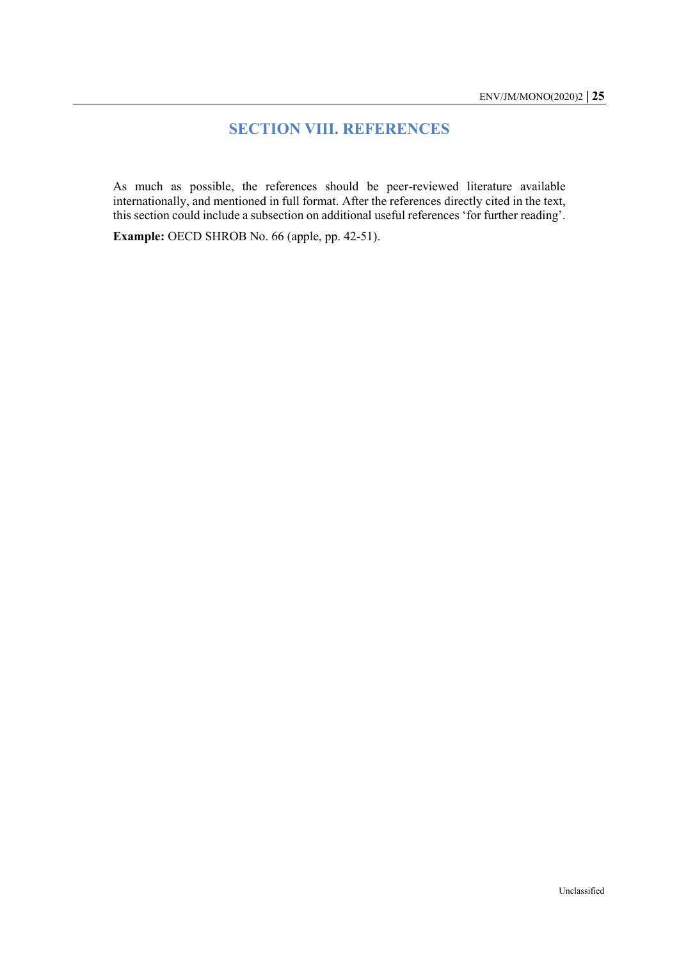# **SECTION VIII. REFERENCES**

<span id="page-24-0"></span>As much as possible, the references should be peer-reviewed literature available internationally, and mentioned in full format. After the references directly cited in the text, this section could include a subsection on additional useful references 'for further reading'.

**Example:** OECD SHROB No. 66 (apple, pp. 42-51).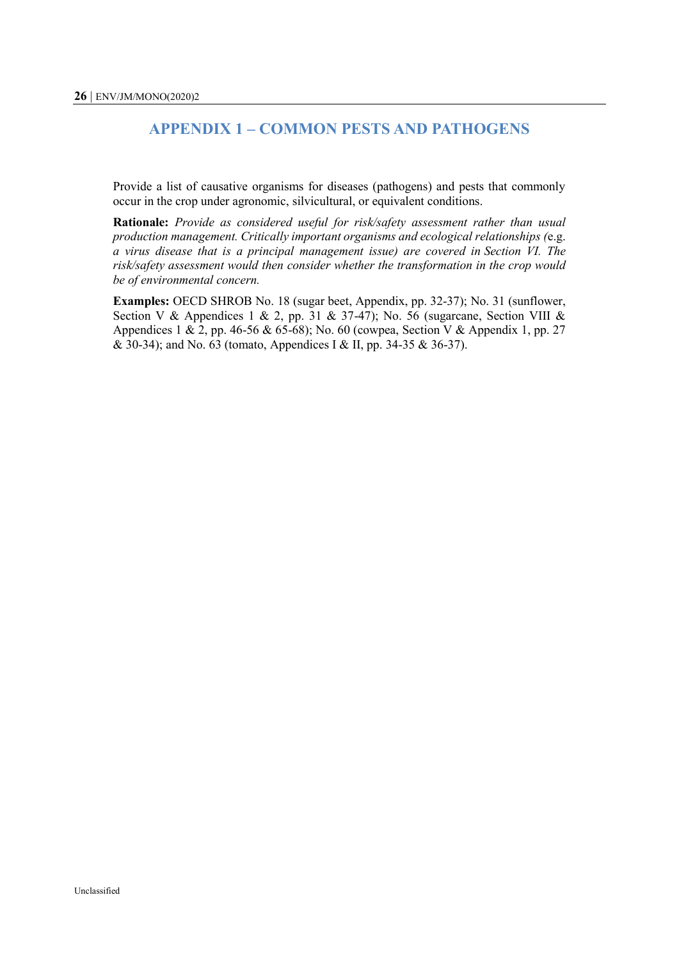## <span id="page-25-0"></span>**APPENDIX 1 – COMMON PESTS AND PATHOGENS**

Provide a list of causative organisms for diseases (pathogens) and pests that commonly occur in the crop under agronomic, silvicultural, or equivalent conditions.

**Rationale:** *Provide as considered useful for risk/safety assessment rather than usual production management. Critically important organisms and ecological relationships (*e.g. *a virus disease that is a principal management issue) are covered in Section VI. The risk/safety assessment would then consider whether the transformation in the crop would be of environmental concern.*

**Examples:** OECD SHROB No. 18 (sugar beet, Appendix, pp. 32-37); No. 31 (sunflower, Section V & Appendices 1 & 2, pp. 31 & 37-47); No. 56 (sugarcane, Section VIII & Appendices 1 & 2, pp. 46-56 & 65-68); No. 60 (cowpea, Section V & Appendix 1, pp. 27  $\&$  30-34); and No. 63 (tomato, Appendices I & II, pp. 34-35 & 36-37).